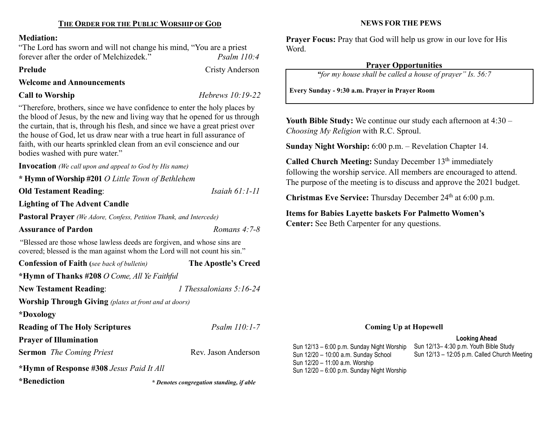## Mediation:

"The Lord has sworn and will not change his mind, "You are a priest forever after the order of Melchizedek." Psalm 110:4

#### Prelude Cristy Anderson

Welcome and Announcements

Call to Worship Hebrews 10:19-22

"Therefore, brothers, since we have confidence to enter the holy places by the blood of Jesus, by the new and living way that he opened for us through the curtain, that is, through his flesh, and since we have a great priest over the house of God, let us draw near with a true heart in full assurance of faith, with our hearts sprinkled clean from an evil conscience and our bodies washed with pure water."

Invocation (We call upon and appeal to God by His name)

\* Hymn of Worship #201 O Little Town of Bethlehem

Old Testament Reading: *Isaiah 61:1-11* 

Lighting of The Advent Candle

Pastoral Prayer (We Adore, Confess, Petition Thank, and Intercede)

# Assurance of Pardon **Romans 4:7-8** Romans 4:7-8

"Blessed are those whose lawless deeds are forgiven, and whose sins are covered; blessed is the man against whom the Lord will not count his sin."

| <b>Confession of Faith</b> (see back of bulletin)            | The Apostle's Creed       |
|--------------------------------------------------------------|---------------------------|
| *Hymn of Thanks #208 O Come, All Ye Faithful                 |                           |
| <b>New Testament Reading:</b>                                | 1 Thessalonians $5:16-24$ |
| <b>Worship Through Giving</b> (plates at front and at doors) |                           |
| *Doxology                                                    |                           |

Reading of The Holy Scriptures Psalm 110:1-7

Prayer of Illumination

Sermon The Coming Priest Rev. Jason Anderson

\*Hymn of Response #308 Jesus Paid It All

\*Benediction

\* Denotes congregation standing, if able

NEWS FOR THE PEWS

Prayer Focus: Pray that God will help us grow in our love for His Word.

# Prayer Opportunities

"for my house shall be called a house of prayer" Is. 56:7

Every Sunday - 9:30 a.m. Prayer in Prayer Room

Youth Bible Study: We continue our study each afternoon at 4:30 – Choosing My Religion with R.C. Sproul.

Sunday Night Worship: 6:00 p.m. – Revelation Chapter 14.

Called Church Meeting: Sunday December 13<sup>th</sup> immediately following the worship service. All members are encouraged to attend. The purpose of the meeting is to discuss and approve the 2021 budget.

Christmas Eve Service: Thursday December  $24<sup>th</sup>$  at 6:00 p.m.

Items for Babies Layette baskets For Palmetto Women's Center: See Beth Carpenter for any questions.

# Coming Up at Hopewell

## Looking Ahead

Sun 12/13 – 6:00 p.m. Sunday Night Worship Sun 12/20 – 10:00 a.m. Sunday School Sun 12/20 – 11:00 a.m. Worship Sun 12/20 – 6:00 p.m. Sunday Night Worship

Sun 12/13– 4:30 p.m. Youth Bible Study Sun 12/13 – 12:05 p.m. Called Church Meeting